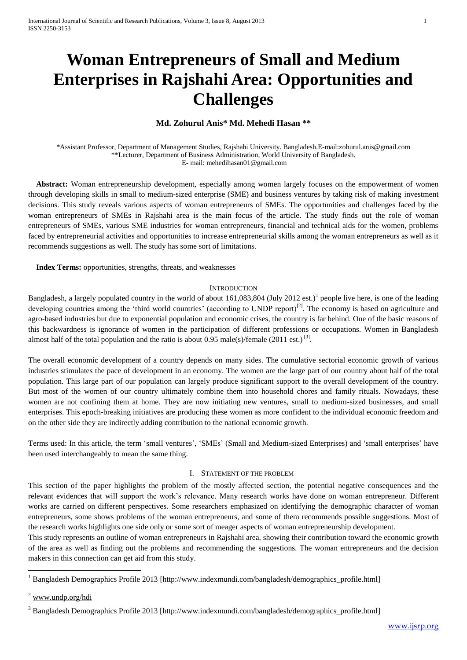# **Woman Entrepreneurs of Small and Medium Enterprises in Rajshahi Area: Opportunities and Challenges**

# **Md. Zohurul Anis\* Md. Mehedi Hasan \*\***

\*Assistant Professor, Department of Management Studies, Rajshahi University. Bangladesh.E-mail:zohurul.anis@gmail.com \*\*Lecturer, Department of Business Administration, World University of Bangladesh. E- mail: mehedihasan01@gmail.com

 **Abstract:** Woman entrepreneurship development, especially among women largely focuses on the empowerment of women through developing skills in small to medium-sized enterprise (SME) and business ventures by taking risk of making investment decisions. This study reveals various aspects of woman entrepreneurs of SMEs. The opportunities and challenges faced by the woman entrepreneurs of SMEs in Rajshahi area is the main focus of the article. The study finds out the role of woman entrepreneurs of SMEs, various SME industries for woman entrepreneurs, financial and technical aids for the women, problems faced by entrepreneurial activities and opportunities to increase entrepreneurial skills among the woman entrepreneurs as well as it recommends suggestions as well. The study has some sort of limitations.

 **Index Terms:** opportunities, strengths, threats, and weaknesses

#### **INTRODUCTION**

Bangladesh, a largely populated country in the world of about 161,083,804 (July 2012 est.)<sup>1</sup> people live here, is one of the leading developing countries among the 'third world countries' (according to UNDP report)<sup>[2]</sup>. The economy is based on agriculture and agro-based industries but due to exponential population and economic crises, the country is far behind. One of the basic reasons of this backwardness is ignorance of women in the participation of different professions or occupations. Women in Bangladesh almost half of the total population and the ratio is about 0.95 male(s)/female (2011 est.) <sup>[3]</sup>.

The overall economic development of a country depends on many sides. The cumulative sectorial economic growth of various industries stimulates the pace of development in an economy. The women are the large part of our country about half of the total population. This large part of our population can largely produce significant support to the overall development of the country. But most of the women of our country ultimately combine them into household chores and family rituals. Nowadays, these women are not confining them at home. They are now initiating new ventures, small to medium-sized businesses, and small enterprises. This epoch-breaking initiatives are producing these women as more confident to the individual economic freedom and on the other side they are indirectly adding contribution to the national economic growth.

Terms used: In this article, the term 'small ventures', 'SMEs' (Small and Medium-sized Enterprises) and 'small enterprises' have been used interchangeably to mean the same thing.

#### I. STATEMENT OF THE PROBLEM

This section of the paper highlights the problem of the mostly affected section, the potential negative consequences and the relevant evidences that will support the work's relevance. Many research works have done on woman entrepreneur. Different works are carried on different perspectives. Some researchers emphasized on identifying the demographic character of woman entrepreneurs, some shows problems of the woman entrepreneurs, and some of them recommends possible suggestions. Most of the research works highlights one side only or some sort of meager aspects of woman entrepreneurship development.

This study represents an outline of woman entrepreneurs in Rajshahi area, showing their contribution toward the economic growth of the area as well as finding out the problems and recommending the suggestions. The woman entrepreneurs and the decision makers in this connection can get aid from this study.

 $2$  [www.undp.org/hdi](http://www.undp.org/hdi)

**.** 

<sup>1</sup> Bangladesh Demographics Profile 2013 [http://www.indexmundi.com/bangladesh/demographics\_profile.html]

<sup>&</sup>lt;sup>3</sup> Bangladesh Demographics Profile 2013 [http://www.indexmundi.com/bangladesh/demographics\_profile.html]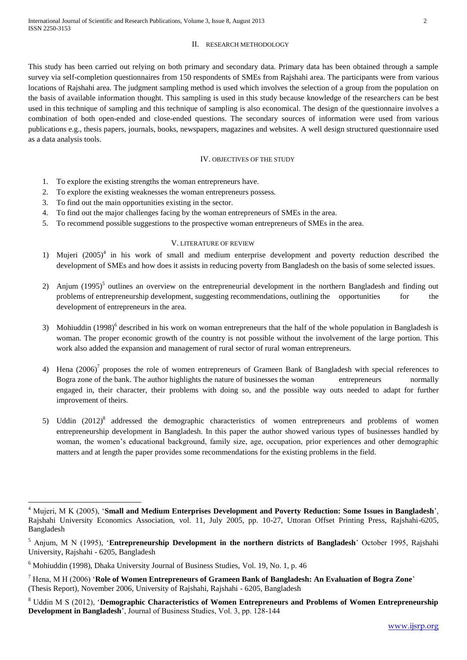#### II. RESEARCH METHODOLOGY

This study has been carried out relying on both primary and secondary data. Primary data has been obtained through a sample survey via self-completion questionnaires from 150 respondents of SMEs from Rajshahi area. The participants were from various locations of Rajshahi area. The judgment sampling method is used which involves the selection of a group from the population on the basis of available information thought. This sampling is used in this study because knowledge of the researchers can be best used in this technique of sampling and this technique of sampling is also economical. The design of the questionnaire involves a combination of both open-ended and close-ended questions. The secondary sources of information were used from various publications e.g., thesis papers, journals, books, newspapers, magazines and websites. A well design structured questionnaire used as a data analysis tools.

#### IV. OBJECTIVES OF THE STUDY

- 1. To explore the existing strengths the woman entrepreneurs have.
- 2. To explore the existing weaknesses the woman entrepreneurs possess.
- 3. To find out the main opportunities existing in the sector.
- 4. To find out the major challenges facing by the woman entrepreneurs of SMEs in the area.
- 5. To recommend possible suggestions to the prospective woman entrepreneurs of SMEs in the area.

## V. LITERATURE OF REVIEW

- 1) Mujeri (2005)<sup>4</sup> in his work of small and medium enterprise development and poverty reduction described the development of SMEs and how does it assists in reducing poverty from Bangladesh on the basis of some selected issues.
- 2) Anjum  $(1995)^5$  outlines an overview on the entrepreneurial development in the northern Bangladesh and finding out problems of entrepreneurship development, suggesting recommendations, outlining the opportunities for the development of entrepreneurs in the area.
- 3) Mohiuddin (1998)<sup>6</sup> described in his work on woman entrepreneurs that the half of the whole population in Bangladesh is woman. The proper economic growth of the country is not possible without the involvement of the large portion. This work also added the expansion and management of rural sector of rural woman entrepreneurs.
- 4) Hena  $(2006)^7$  proposes the role of women entrepreneurs of Grameen Bank of Bangladesh with special references to Bogra zone of the bank. The author highlights the nature of businesses the woman entrepreneurs normally engaged in, their character, their problems with doing so, and the possible way outs needed to adapt for further improvement of theirs.
- 5) Uddin  $(2012)^8$  addressed the demographic characteristics of women entrepreneurs and problems of women entrepreneurship development in Bangladesh. In this paper the author showed various types of businesses handled by woman, the women's educational background, family size, age, occupation, prior experiences and other demographic matters and at length the paper provides some recommendations for the existing problems in the field.

1

<sup>4</sup> Mujeri, M K (2005), '**Small and Medium Enterprises Development and Poverty Reduction: Some Issues in Bangladesh**', Rajshahi University Economics Association, vol. 11, July 2005, pp. 10-27, Uttoran Offset Printing Press, Rajshahi-6205, Bangladesh

<sup>5</sup> Anjum, M N (1995), '**Entrepreneurship Development in the northern districts of Bangladesh**' October 1995, Rajshahi University, Rajshahi - 6205, Bangladesh

 $6$  Mohiuddin (1998), Dhaka University Journal of Business Studies, Vol. 19, No. 1, p. 46

<sup>7</sup> Hena, M H (2006) '**Role of Women Entrepreneurs of Grameen Bank of Bangladesh: An Evaluation of Bogra Zone**' (Thesis Report), November 2006, University of Rajshahi, Rajshahi - 6205, Bangladesh

<sup>8</sup> Uddin M S (2012), '**Demographic Characteristics of Women Entrepreneurs and Problems of Women Entrepreneurship Development in Bangladesh**', Journal of Business Studies, Vol. 3, pp. 128-144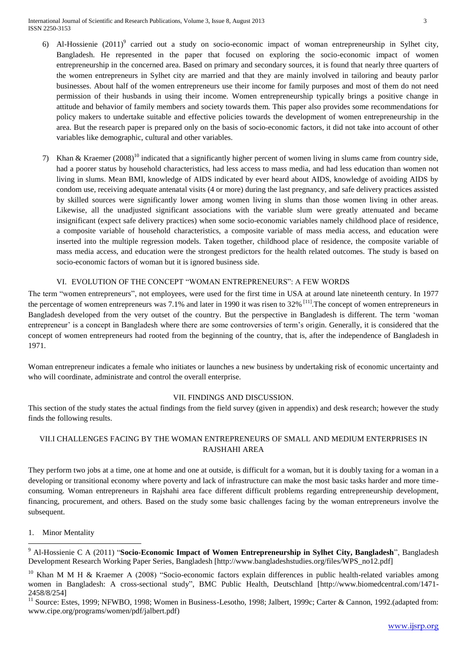International Journal of Scientific and Research Publications, Volume 3, Issue 8, August 2013 3 ISSN 2250-3153

- 6) Al-Hossienie (2011)<sup>9</sup> carried out a study on socio-economic impact of woman entrepreneurship in Sylhet city, Bangladesh. He represented in the paper that focused on exploring the socio-economic impact of women entrepreneurship in the concerned area. Based on primary and secondary sources, it is found that nearly three quarters of the women entrepreneurs in Sylhet city are married and that they are mainly involved in tailoring and beauty parlor businesses. About half of the women entrepreneurs use their income for family purposes and most of them do not need permission of their husbands in using their income. Women entrepreneurship typically brings a positive change in attitude and behavior of family members and society towards them. This paper also provides some recommendations for policy makers to undertake suitable and effective policies towards the development of women entrepreneurship in the area. But the research paper is prepared only on the basis of socio-economic factors, it did not take into account of other variables like demographic, cultural and other variables.
- 7) Khan & Kraemer (2008)<sup>10</sup> indicated that a significantly higher percent of women living in slums came from country side, had a poorer status by household characteristics, had less access to mass media, and had less education than women not living in slums. Mean BMI, knowledge of AIDS indicated by ever heard about AIDS, knowledge of avoiding AIDS by condom use, receiving adequate antenatal visits (4 or more) during the last pregnancy, and safe delivery practices assisted by skilled sources were significantly lower among women living in slums than those women living in other areas. Likewise, all the unadjusted significant associations with the variable slum were greatly attenuated and became insignificant (expect safe delivery practices) when some socio-economic variables namely childhood place of residence, a composite variable of household characteristics, a composite variable of mass media access, and education were inserted into the multiple regression models. Taken together, childhood place of residence, the composite variable of mass media access, and education were the strongest predictors for the health related outcomes. The study is based on socio-economic factors of woman but it is ignored business side.

## VI. EVOLUTION OF THE CONCEPT "WOMAN ENTREPRENEURS": A FEW WORDS

The term "women entrepreneurs", not employees, were used for the first time in USA at around late nineteenth century. In 1977 the percentage of women entrepreneurs was 7.1% and later in 1990 it was risen to  $32\%$ <sup>[11]</sup>. The concept of women entrepreneurs in Bangladesh developed from the very outset of the country. But the perspective in Bangladesh is different. The term 'woman entrepreneur' is a concept in Bangladesh where there are some controversies of term's origin. Generally, it is considered that the concept of women entrepreneurs had rooted from the beginning of the country, that is, after the independence of Bangladesh in 1971.

Woman entrepreneur indicates a female who initiates or launches a new business by undertaking risk of economic uncertainty and who will coordinate, administrate and control the overall enterprise.

## VII. FINDINGS AND DISCUSSION.

This section of the study states the actual findings from the field survey (given in appendix) and desk research; however the study finds the following results.

# VII.I CHALLENGES FACING BY THE WOMAN ENTREPRENEURS OF SMALL AND MEDIUM ENTERPRISES IN RAJSHAHI AREA

They perform two jobs at a time, one at home and one at outside, is difficult for a woman, but it is doubly taxing for a woman in a developing or transitional economy where poverty and lack of infrastructure can make the most basic tasks harder and more timeconsuming. Woman entrepreneurs in Rajshahi area face different difficult problems regarding entrepreneurship development, financing, procurement, and others. Based on the study some basic challenges facing by the woman entrepreneurs involve the subsequent.

1. Minor Mentality

 $\overline{a}$ 

<sup>9</sup> Al-Hossienie C A (2011) "**Socio-Economic Impact of Women Entrepreneurship in Sylhet City, Bangladesh**", Bangladesh Development Research Working Paper Series, Bangladesh [http://www.bangladeshstudies.org/files/WPS\_no12.pdf]

<sup>&</sup>lt;sup>10</sup> Khan M M H & Kraemer A (2008) "Socio-economic factors explain differences in public health-related variables among women in Bangladesh: A cross-sectional study", BMC Public Health, Deutschland [http://www.biomedcentral.com/1471- 2458/8/254]

<sup>&</sup>lt;sup>11</sup> Source: Estes, 1999; NFWBO, 1998; Women in Business-Lesotho, 1998; Jalbert, 1999c; Carter & Cannon, 1992.(adapted from: [www.cipe.org/programs/women/pdf/jalbert.pdf\)](http://www.cipe.org/programs/women/pdf/jalbert.pdf)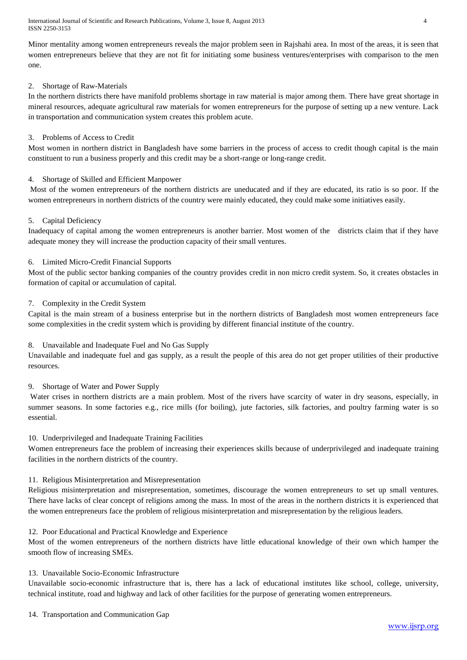International Journal of Scientific and Research Publications, Volume 3, Issue 8, August 2013 4 ISSN 2250-3153

Minor mentality among women entrepreneurs reveals the major problem seen in Rajshahi area. In most of the areas, it is seen that women entrepreneurs believe that they are not fit for initiating some business ventures/enterprises with comparison to the men one.

# 2. Shortage of Raw-Materials

In the northern districts there have manifold problems shortage in raw material is major among them. There have great shortage in mineral resources, adequate agricultural raw materials for women entrepreneurs for the purpose of setting up a new venture. Lack in transportation and communication system creates this problem acute.

# 3. Problems of Access to Credit

Most women in northern district in Bangladesh have some barriers in the process of access to credit though capital is the main constituent to run a business properly and this credit may be a short-range or long-range credit.

# 4. Shortage of Skilled and Efficient Manpower

Most of the women entrepreneurs of the northern districts are uneducated and if they are educated, its ratio is so poor. If the women entrepreneurs in northern districts of the country were mainly educated, they could make some initiatives easily.

# 5. Capital Deficiency

Inadequacy of capital among the women entrepreneurs is another barrier. Most women of the districts claim that if they have adequate money they will increase the production capacity of their small ventures.

# 6. Limited Micro-Credit Financial Supports

Most of the public sector banking companies of the country provides credit in non micro credit system. So, it creates obstacles in formation of capital or accumulation of capital.

## 7. Complexity in the Credit System

Capital is the main stream of a business enterprise but in the northern districts of Bangladesh most women entrepreneurs face some complexities in the credit system which is providing by different financial institute of the country.

## 8. Unavailable and Inadequate Fuel and No Gas Supply

Unavailable and inadequate fuel and gas supply, as a result the people of this area do not get proper utilities of their productive resources.

## 9. Shortage of Water and Power Supply

Water crises in northern districts are a main problem. Most of the rivers have scarcity of water in dry seasons, especially, in summer seasons. In some factories e.g., rice mills (for boiling), jute factories, silk factories, and poultry farming water is so essential.

## 10. Underprivileged and Inadequate Training Facilities

Women entrepreneurs face the problem of increasing their experiences skills because of underprivileged and inadequate training facilities in the northern districts of the country.

## 11. Religious Misinterpretation and Misrepresentation

Religious misinterpretation and misrepresentation, sometimes, discourage the women entrepreneurs to set up small ventures. There have lacks of clear concept of religions among the mass. In most of the areas in the northern districts it is experienced that the women entrepreneurs face the problem of religious misinterpretation and misrepresentation by the religious leaders.

## 12. Poor Educational and Practical Knowledge and Experience

Most of the women entrepreneurs of the northern districts have little educational knowledge of their own which hamper the smooth flow of increasing SMEs.

## 13. Unavailable Socio-Economic Infrastructure

Unavailable socio-economic infrastructure that is, there has a lack of educational institutes like school, college, university, technical institute, road and highway and lack of other facilities for the purpose of generating women entrepreneurs.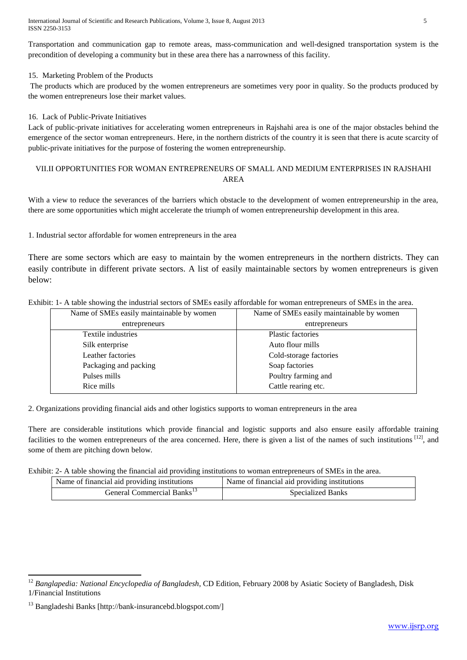International Journal of Scientific and Research Publications, Volume 3, Issue 8, August 2013 5 ISSN 2250-3153

Transportation and communication gap to remote areas, mass-communication and well-designed transportation system is the precondition of developing a community but in these area there has a narrowness of this facility.

# 15. Marketing Problem of the Products

The products which are produced by the women entrepreneurs are sometimes very poor in quality. So the products produced by the women entrepreneurs lose their market values.

# 16. Lack of Public-Private Initiatives

Lack of public-private initiatives for accelerating women entrepreneurs in Rajshahi area is one of the major obstacles behind the emergence of the sector woman entrepreneurs. Here, in the northern districts of the country it is seen that there is acute scarcity of public-private initiatives for the purpose of fostering the women entrepreneurship.

# VII.II OPPORTUNITIES FOR WOMAN ENTREPRENEURS OF SMALL AND MEDIUM ENTERPRISES IN RAJSHAHI AREA

With a view to reduce the severances of the barriers which obstacle to the development of women entrepreneurship in the area, there are some opportunities which might accelerate the triumph of women entrepreneurship development in this area.

1. Industrial sector affordable for women entrepreneurs in the area

There are some sectors which are easy to maintain by the women entrepreneurs in the northern districts. They can easily contribute in different private sectors. A list of easily maintainable sectors by women entrepreneurs is given below:

Exhibit: 1- A table showing the industrial sectors of SMEs easily affordable for woman entrepreneurs of SMEs in the area.

| Name of SMEs easily maintainable by women | Name of SMEs easily maintainable by women |
|-------------------------------------------|-------------------------------------------|
| entrepreneurs                             | entrepreneurs                             |
| Textile industries                        | <b>Plastic factories</b>                  |
| Silk enterprise                           | Auto flour mills                          |
| Leather factories                         | Cold-storage factories                    |
| Packaging and packing                     | Soap factories                            |
| Pulses mills                              | Poultry farming and                       |
| Rice mills                                | Cattle rearing etc.                       |

2. Organizations providing financial aids and other logistics supports to woman entrepreneurs in the area

There are considerable institutions which provide financial and logistic supports and also ensure easily affordable training facilities to the women entrepreneurs of the area concerned. Here, there is given a list of the names of such institutions [12], and some of them are pitching down below.

Exhibit: 2- A table showing the financial aid providing institutions to woman entrepreneurs of SMEs in the area.

| Name of financial aid providing institutions | Name of financial aid providing institutions |
|----------------------------------------------|----------------------------------------------|
| General Commercial Banks <sup>15</sup>       | Specialized Banks                            |

**.** 

<sup>&</sup>lt;sup>12</sup> Banglapedia: National Encyclopedia of Bangladesh, CD Edition, February 2008 by Asiatic Society of Bangladesh, Disk 1/Financial Institutions

<sup>13</sup> Bangladeshi Banks [http://bank-insurancebd.blogspot.com/]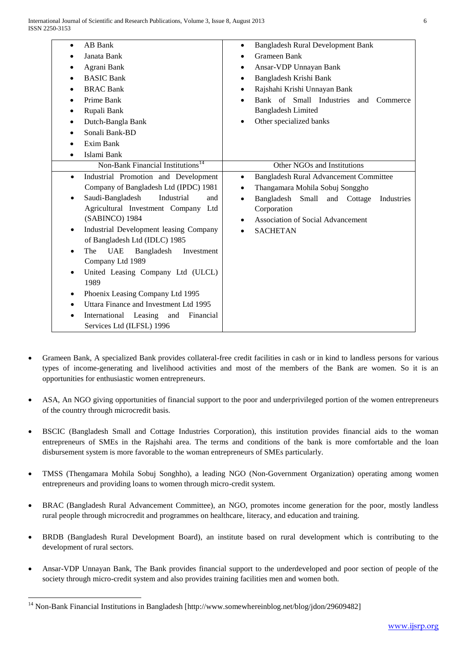| AB Bank<br>$\bullet$                                   | <b>Bangladesh Rural Development Bank</b><br>$\bullet$      |  |
|--------------------------------------------------------|------------------------------------------------------------|--|
| Janata Bank                                            | Grameen Bank                                               |  |
| Agrani Bank                                            | Ansar-VDP Unnayan Bank<br>٠                                |  |
| <b>BASIC Bank</b>                                      | Bangladesh Krishi Bank<br>٠                                |  |
| <b>BRAC Bank</b>                                       | Rajshahi Krishi Unnayan Bank<br>٠                          |  |
| Prime Bank                                             | Bank of Small Industries<br>and<br>Commerce                |  |
| Rupali Bank<br>٠                                       | <b>Bangladesh Limited</b>                                  |  |
| Dutch-Bangla Bank<br>$\bullet$                         | Other specialized banks                                    |  |
| Sonali Bank-BD                                         |                                                            |  |
| Exim Bank                                              |                                                            |  |
| Islami Bank                                            |                                                            |  |
| Non-Bank Financial Institutions <sup>14</sup>          | Other NGOs and Institutions                                |  |
| Industrial Promotion and Development<br>$\bullet$      | <b>Bangladesh Rural Advancement Committee</b><br>$\bullet$ |  |
| Company of Bangladesh Ltd (IPDC) 1981                  | Thangamara Mohila Sobuj Songgho<br>٠                       |  |
| Saudi-Bangladesh<br>Industrial<br>and<br>٠             | Bangladesh Small<br>and Cottage<br>Industries<br>٠         |  |
| Agricultural Investment Company Ltd                    | Corporation                                                |  |
| (SABINCO) 1984                                         | Association of Social Advancement                          |  |
| Industrial Development leasing Company<br>$\bullet$    | <b>SACHETAN</b>                                            |  |
| of Bangladesh Ltd (IDLC) 1985                          |                                                            |  |
| <b>UAE</b><br>The<br>Bangladesh<br>Investment          |                                                            |  |
| Company Ltd 1989                                       |                                                            |  |
| United Leasing Company Ltd (ULCL)                      |                                                            |  |
| 1989                                                   |                                                            |  |
| Phoenix Leasing Company Ltd 1995<br>$\bullet$          |                                                            |  |
| Uttara Finance and Investment Ltd 1995                 |                                                            |  |
| International Leasing<br>and<br>Financial<br>$\bullet$ |                                                            |  |
| Services Ltd (ILFSL) 1996                              |                                                            |  |
|                                                        |                                                            |  |

- Grameen Bank, A specialized Bank provides collateral-free credit facilities in cash or in kind to landless persons for various types of income-generating and livelihood activities and most of the members of the Bank are women. So it is an opportunities for enthusiastic women entrepreneurs.
- ASA, An NGO giving opportunities of financial support to the poor and underprivileged portion of the women entrepreneurs of the country through microcredit basis.
- BSCIC (Bangladesh Small and Cottage Industries Corporation), this institution provides financial aids to the woman entrepreneurs of SMEs in the Rajshahi area. The terms and conditions of the bank is more comfortable and the loan disbursement system is more favorable to the woman entrepreneurs of SMEs particularly.
- TMSS (Thengamara Mohila Sobuj Songhho), a leading NGO (Non-Government Organization) operating among women entrepreneurs and providing loans to women through micro-credit system.
- BRAC (Bangladesh Rural Advancement Committee), an NGO, promotes income generation for the poor, mostly landless rural people through microcredit and programmes on healthcare, [literacy,](http://localhost:1030/HT/L_0111.HTM) and education and training.
- BRDB (Bangladesh Rural Development Board), an institute based on rural development which is contributing to the development of rural sectors.
- Ansar-VDP Unnayan Bank, The Bank provides financial support to the underdeveloped and poor section of people of the society through micro-credit system and also provides training facilities men and women both.

1

<sup>&</sup>lt;sup>14</sup> Non-Bank Financial Institutions in Bangladesh [http://www.somewhereinblog.net/blog/jdon/29609482]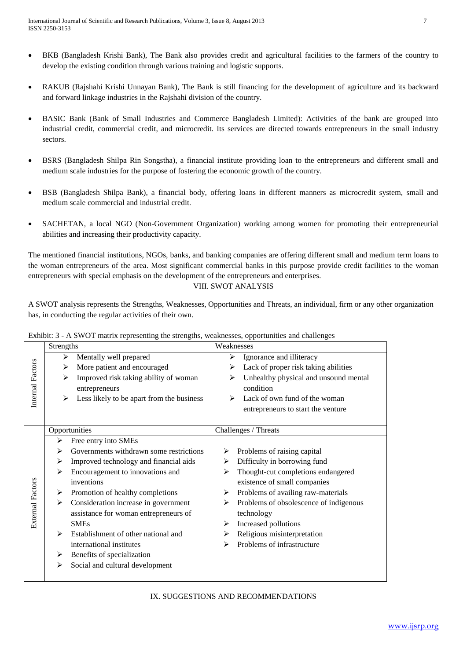- BKB (Bangladesh Krishi Bank), The Bank also provides credit and agricultural facilities to the farmers of the country to develop the existing condition through various training and logistic supports.
- RAKUB (Rajshahi Krishi Unnayan Bank), The Bank is still financing for the development of [agriculture](http://localhost:1030/HT/A_0077.HTM) and its backward and forward linkage industries in the Rajshahi division of the country.
- BASIC Bank (Bank of Small Industries and Commerce Bangladesh Limited): Activities of the bank are grouped into industrial credit, commercial credit, and microcredit. Its services are directed towards entrepreneurs in the small industry sectors.
- BSRS (Bangladesh Shilpa Rin Songstha), a financial institute providing loan to the entrepreneurs and different small and medium scale industries for the purpose of fostering the economic growth of the country.
- BSB (Bangladesh Shilpa Bank), a financial body, offering loans in different manners as microcredit system, small and medium scale commercial and industrial credit.
- SACHETAN, a local NGO (Non-Government Organization) working among women for promoting their entrepreneurial abilities and increasing their productivity capacity.

The mentioned financial institutions, NGOs, banks, and banking companies are offering different small and medium term loans to the woman entrepreneurs of the area. Most significant commercial banks in this purpose provide credit facilities to the woman entrepreneurs with special emphasis on the development of the entrepreneurs and enterprises. VIII. SWOT ANALYSIS

A SWOT analysis represents the Strengths, Weaknesses, Opportunities and Threats, an individual, firm or any other organization has, in conducting the regular activities of their own.

|                         | Strengths |                                           |   | Weaknesses                             |
|-------------------------|-----------|-------------------------------------------|---|----------------------------------------|
|                         | ⋗         | Mentally well prepared                    | ⋗ | Ignorance and illiteracy               |
|                         | ≻         | More patient and encouraged               | ⋗ | Lack of proper risk taking abilities   |
|                         | ⋗         | Improved risk taking ability of woman     |   | Unhealthy physical and unsound mental  |
|                         |           | entrepreneurs                             |   | condition                              |
| Internal Factors        | ≻         | Less likely to be apart from the business |   | Lack of own fund of the woman          |
|                         |           |                                           |   | entrepreneurs to start the venture     |
|                         |           |                                           |   |                                        |
|                         |           | Opportunities                             |   | Challenges / Threats                   |
|                         | ≻         | Free entry into SMEs                      |   |                                        |
|                         | ➤         | Governments withdrawn some restrictions   | ➤ | Problems of raising capital            |
|                         | ➤         | Improved technology and financial aids    | ⋗ | Difficulty in borrowing fund           |
|                         | ➤         | Encouragement to innovations and          | ≻ | Thought-cut completions endangered     |
|                         |           | inventions                                |   | existence of small companies           |
| <b>External Factors</b> | ➤         | Promotion of healthy completions          | ➤ | Problems of availing raw-materials     |
|                         | ➤         | Consideration increase in government      | ⋗ | Problems of obsolescence of indigenous |
|                         |           | assistance for woman entrepreneurs of     |   | technology                             |
|                         |           | <b>SMEs</b>                               | ⋗ | Increased pollutions                   |
|                         | ➤         | Establishment of other national and       | ≻ | Religious misinterpretation            |
|                         |           | international institutes                  | ⋗ | Problems of infrastructure             |
|                         | ➤         | Benefits of specialization                |   |                                        |
|                         | ➤         | Social and cultural development           |   |                                        |
|                         |           |                                           |   |                                        |

Exhibit: 3 - A SWOT matrix representing the strengths, weaknesses, opportunities and challenges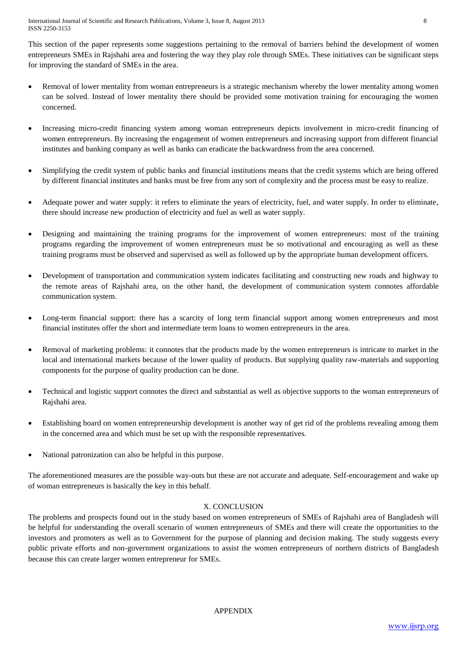This section of the paper represents some suggestions pertaining to the removal of barriers behind the development of women entrepreneurs SMEs in Rajshahi area and fostering the way they play role through SMEs. These initiatives can be significant steps for improving the standard of SMEs in the area.

- Removal of lower mentality from woman entrepreneurs is a strategic mechanism whereby the lower mentality among women can be solved. Instead of lower mentality there should be provided some motivation training for encouraging the women concerned.
- Increasing micro-credit financing system among woman entrepreneurs depicts involvement in micro-credit financing of women entrepreneurs. By increasing the engagement of women entrepreneurs and increasing support from different financial institutes and banking company as well as banks can eradicate the backwardness from the area concerned.
- Simplifying the credit system of public banks and financial institutions means that the credit systems which are being offered by different financial institutes and banks must be free from any sort of complexity and the process must be easy to realize.
- Adequate power and water supply: it refers to eliminate the years of electricity, fuel, and water supply. In order to eliminate, there should increase new production of electricity and fuel as well as water supply.
- Designing and maintaining the training programs for the improvement of women entrepreneurs: most of the training programs regarding the improvement of women entrepreneurs must be so motivational and encouraging as well as these training programs must be observed and supervised as well as followed up by the appropriate human development officers.
- Development of transportation and communication system indicates facilitating and constructing new roads and highway to the remote areas of Rajshahi area, on the other hand, the development of communication system connotes affordable communication system.
- Long-term financial support: there has a scarcity of long term financial support among women entrepreneurs and most financial institutes offer the short and intermediate term loans to women entrepreneurs in the area.
- Removal of marketing problems: it connotes that the products made by the women entrepreneurs is intricate to market in the local and international markets because of the lower quality of products. But supplying quality raw-materials and supporting components for the purpose of quality production can be done.
- Technical and logistic support connotes the direct and substantial as well as objective supports to the woman entrepreneurs of Rajshahi area.
- Establishing board on women entrepreneurship development is another way of get rid of the problems revealing among them in the concerned area and which must be set up with the responsible representatives.
- National patronization can also be helpful in this purpose.

The aforementioned measures are the possible way-outs but these are not accurate and adequate. Self-encouragement and wake up of woman entrepreneurs is basically the key in this behalf.

# X. CONCLUSION

The problems and prospects found out in the study based on women entrepreneurs of SMEs of Rajshahi area of Bangladesh will be helpful for understanding the overall scenario of women entrepreneurs of SMEs and there will create the opportunities to the investors and promoters as well as to Government for the purpose of planning and decision making. The study suggests every public private efforts and non-government organizations to assist the women entrepreneurs of northern districts of Bangladesh because this can create larger women entrepreneur for SMEs.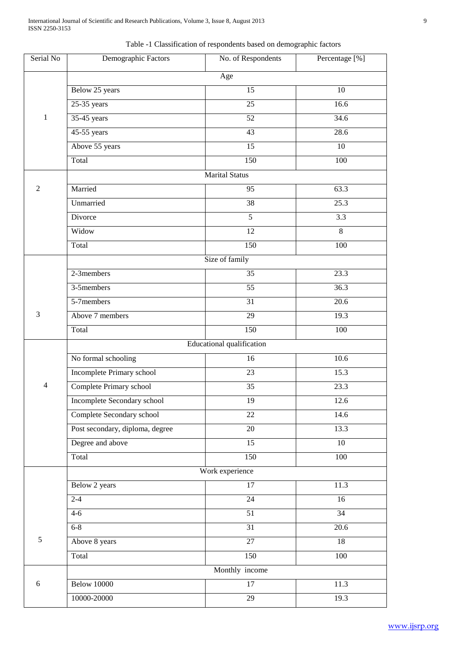Table -1 Classification of respondents based on demographic factors

| Serial No             | Demographic Factors             | No. of Respondents | Percentage [%]  |  |
|-----------------------|---------------------------------|--------------------|-----------------|--|
|                       | Age                             |                    |                 |  |
|                       | Below 25 years                  | 15                 | $\overline{10}$ |  |
|                       | $25-35$ years                   | $\overline{25}$    | 16.6            |  |
| $\mathbf{1}$          | 35-45 years                     | 52                 | 34.6            |  |
|                       | 45-55 years                     | $\overline{43}$    | 28.6            |  |
|                       | Above 55 years                  | 15                 | 10              |  |
|                       | Total                           | 150                | 100             |  |
| <b>Marital Status</b> |                                 |                    |                 |  |
| $\overline{2}$        | Married                         | 95                 | 63.3            |  |
|                       | Unmarried                       | 38                 | 25.3            |  |
|                       | Divorce                         | $\overline{5}$     | 3.3             |  |
|                       | Widow                           | 12                 | 8               |  |
|                       | Total                           | 150                | 100             |  |
|                       | Size of family                  |                    |                 |  |
|                       | 2-3members                      | 35                 | 23.3            |  |
|                       | 3-5members                      | 55                 | 36.3            |  |
|                       | 5-7members                      | $\overline{31}$    | 20.6            |  |
| 3                     | Above 7 members                 | 29                 | 19.3            |  |
|                       | Total                           | 150                | 100             |  |
|                       |                                 |                    |                 |  |
|                       | No formal schooling             | 16                 | 10.6            |  |
|                       | Incomplete Primary school       | 23                 | 15.3            |  |
| $\overline{4}$        | Complete Primary school         | $\overline{35}$    | 23.3            |  |
|                       | Incomplete Secondary school     | 19                 | 12.6            |  |
|                       | Complete Secondary school       | 22                 | 14.6            |  |
|                       | Post secondary, diploma, degree | 20                 | 13.3            |  |
|                       | Degree and above                | 15                 | 10              |  |
|                       | Total                           | 150                | 100             |  |
|                       |                                 | Work experience    |                 |  |
|                       | Below 2 years                   | 17                 | 11.3            |  |
|                       | $2 - 4$                         | 24                 | 16              |  |
|                       | $4-6$                           | $\overline{51}$    | 34              |  |
|                       | $6 - 8$                         | $\overline{31}$    | 20.6            |  |
| 5                     | Above 8 years                   | 27                 | 18              |  |
|                       | Total                           | 150                | 100             |  |
|                       |                                 | Monthly income     |                 |  |
| 6                     | <b>Below 10000</b>              | $\overline{17}$    | 11.3            |  |
|                       | 10000-20000                     | 29                 | 19.3            |  |
|                       |                                 |                    |                 |  |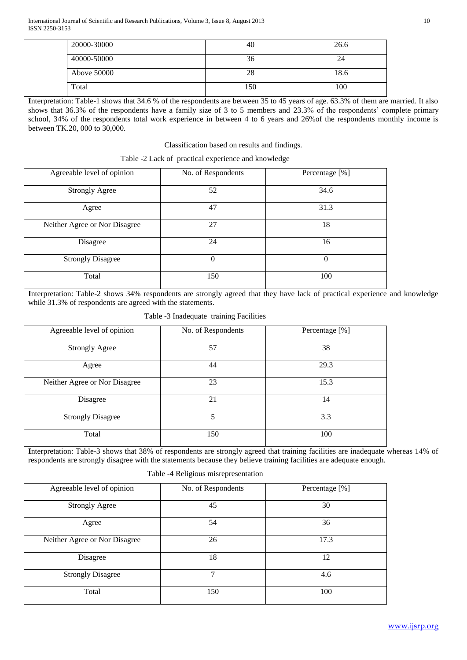| 20000-30000 | 40  | 26.6 |
|-------------|-----|------|
| 40000-50000 | 36  | 24   |
| Above 50000 | 28  | 18.6 |
| Total       | 150 | 100  |

**I**nterpretation: Table-1 shows that 34.6 % of the respondents are between 35 to 45 years of age. 63.3% of them are married. It also shows that 36.3% of the respondents have a family size of 3 to 5 members and 23.3% of the respondents' complete primary school, 34% of the respondents total work experience in between 4 to 6 years and 26%of the respondents monthly income is between TK.20, 000 to 30,000.

# Classification based on results and findings.

| Table -2 Lack of practical experience and knowledge |  |  |  |  |
|-----------------------------------------------------|--|--|--|--|
|-----------------------------------------------------|--|--|--|--|

| Agreeable level of opinion    | No. of Respondents | Percentage [%] |
|-------------------------------|--------------------|----------------|
| <b>Strongly Agree</b>         | 52                 | 34.6           |
| Agree                         | 47                 | 31.3           |
| Neither Agree or Nor Disagree | 27                 | 18             |
| Disagree                      | 24                 | 16             |
| <b>Strongly Disagree</b>      | $\theta$           | $\Omega$       |
| Total                         | 150                | 100            |

**I**nterpretation: Table-2 shows 34% respondents are strongly agreed that they have lack of practical experience and knowledge while 31.3% of respondents are agreed with the statements.

Table -3 Inadequate training Facilities

| Agreeable level of opinion    | No. of Respondents | Percentage [%] |
|-------------------------------|--------------------|----------------|
| <b>Strongly Agree</b>         | 57                 | 38             |
| Agree                         | 44                 | 29.3           |
| Neither Agree or Nor Disagree | 23                 | 15.3           |
| Disagree                      | 21                 | 14             |
| <b>Strongly Disagree</b>      | 5                  | 3.3            |
| Total                         | 150                | 100            |

Interpretation: Table-3 shows that 38% of respondents are strongly agreed that training facilities are inadequate whereas 14% of respondents are strongly disagree with the statements because they believe training facilities are adequate enough.

| Agreeable level of opinion    | No. of Respondents | Percentage [%] |
|-------------------------------|--------------------|----------------|
| <b>Strongly Agree</b>         | 45                 | 30             |
| Agree                         | 54                 | 36             |
| Neither Agree or Nor Disagree | 26                 | 17.3           |
| Disagree                      | 18                 | 12             |
| <b>Strongly Disagree</b>      | 7                  | 4.6            |
| Total                         | 150                | 100            |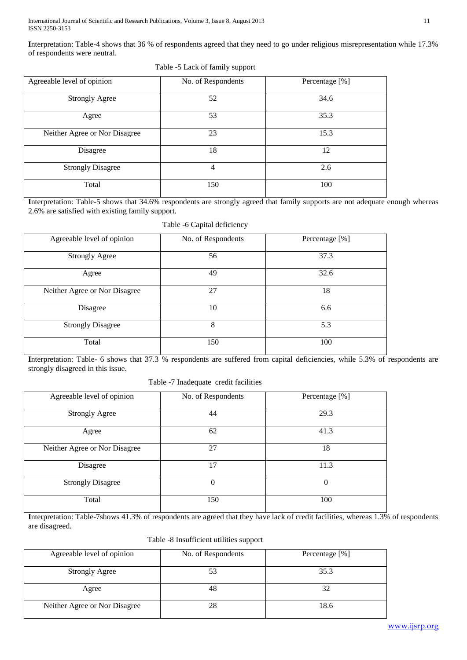International Journal of Scientific and Research Publications, Volume 3, Issue 8, August 2013 11 ISSN 2250-3153

**I**nterpretation: Table-4 shows that 36 % of respondents agreed that they need to go under religious misrepresentation while 17.3% of respondents were neutral.

| Agreeable level of opinion    | No. of Respondents | Percentage [%] |
|-------------------------------|--------------------|----------------|
| <b>Strongly Agree</b>         | 52                 | 34.6           |
| Agree                         | 53                 | 35.3           |
| Neither Agree or Nor Disagree | 23                 | 15.3           |
| Disagree                      | 18                 | 12             |
| <b>Strongly Disagree</b>      | 4                  | 2.6            |
| Total                         | 150                | 100            |

Table -5 Lack of family support

**I**nterpretation: Table-5 shows that 34.6% respondents are strongly agreed that family supports are not adequate enough whereas 2.6% are satisfied with existing family support.

| Table -6 Capital deficiency |  |
|-----------------------------|--|
|-----------------------------|--|

| Agreeable level of opinion    | No. of Respondents | Percentage [%] |
|-------------------------------|--------------------|----------------|
| <b>Strongly Agree</b>         | 56                 | 37.3           |
| Agree                         | 49                 | 32.6           |
| Neither Agree or Nor Disagree | 27                 | 18             |
| Disagree                      | 10                 | 6.6            |
| <b>Strongly Disagree</b>      | 8                  | 5.3            |
| Total                         | 150                | 100            |

**I**nterpretation: Table- 6 shows that 37.3 % respondents are suffered from capital deficiencies, while 5.3% of respondents are strongly disagreed in this issue.

Table -7 Inadequate credit facilities

| Agreeable level of opinion    | No. of Respondents | Percentage [%] |
|-------------------------------|--------------------|----------------|
| <b>Strongly Agree</b>         | 44                 | 29.3           |
| Agree                         | 62                 | 41.3           |
| Neither Agree or Nor Disagree | 27                 | 18             |
| Disagree                      | 17                 | 11.3           |
| <b>Strongly Disagree</b>      | $\theta$           | $\Omega$       |
| Total                         | 150                | 100            |

**I**nterpretation: Table-7shows 41.3% of respondents are agreed that they have lack of credit facilities, whereas 1.3% of respondents are disagreed.

Table -8 Insufficient utilities support

| Agreeable level of opinion    | No. of Respondents | Percentage [%] |
|-------------------------------|--------------------|----------------|
| <b>Strongly Agree</b>         | 53                 | 35.3           |
| Agree                         | 48                 |                |
| Neither Agree or Nor Disagree | 28                 | 18.6           |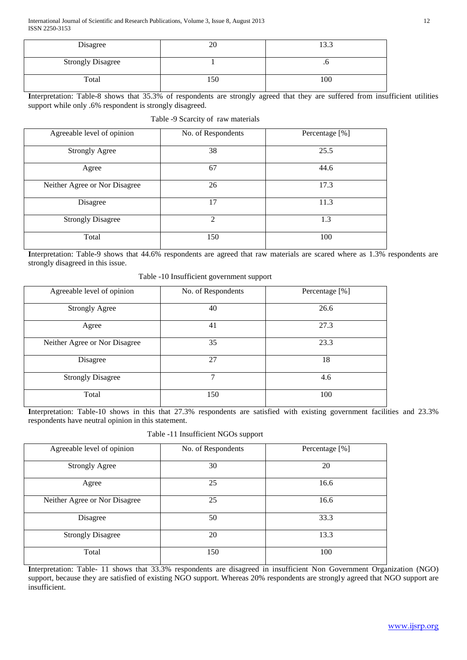| Disagree                 | 20  | 122<br>1 J.J |
|--------------------------|-----|--------------|
| <b>Strongly Disagree</b> |     | .u           |
| Total                    | 150 | 100          |

**I**nterpretation: Table-8 shows that 35.3% of respondents are strongly agreed that they are suffered from insufficient utilities support while only .6% respondent is strongly disagreed.

Table -9 Scarcity of raw materials

| Agreeable level of opinion    | No. of Respondents | Percentage [%] |
|-------------------------------|--------------------|----------------|
| <b>Strongly Agree</b>         | 38                 | 25.5           |
| Agree                         | 67                 | 44.6           |
| Neither Agree or Nor Disagree | 26                 | 17.3           |
| Disagree                      | 17                 | 11.3           |
| <b>Strongly Disagree</b>      | $\overline{2}$     | 1.3            |
| Total                         | 150                | 100            |

**I**nterpretation: Table-9 shows that 44.6% respondents are agreed that raw materials are scared where as 1.3% respondents are strongly disagreed in this issue.

| Agreeable level of opinion    | No. of Respondents | Percentage [%] |
|-------------------------------|--------------------|----------------|
| <b>Strongly Agree</b>         | 40                 | 26.6           |
| Agree                         | 41                 | 27.3           |
| Neither Agree or Nor Disagree | 35                 | 23.3           |
| Disagree                      | 27                 | 18             |
| <b>Strongly Disagree</b>      | 7                  | 4.6            |
| Total                         | 150                | 100            |

Interpretation: Table-10 shows in this that 27.3% respondents are satisfied with existing government facilities and 23.3% respondents have neutral opinion in this statement.

Table -11 Insufficient NGOs support

| Agreeable level of opinion    | No. of Respondents | Percentage [%] |
|-------------------------------|--------------------|----------------|
| <b>Strongly Agree</b>         | 30                 | 20             |
| Agree                         | 25                 | 16.6           |
| Neither Agree or Nor Disagree | 25                 | 16.6           |
| Disagree                      | 50                 | 33.3           |
| <b>Strongly Disagree</b>      | 20                 | 13.3           |
| Total                         | 150                | 100            |

Interpretation: Table- 11 shows that 33.3% respondents are disagreed in insufficient Non Government Organization (NGO) support, because they are satisfied of existing NGO support. Whereas 20% respondents are strongly agreed that NGO support are insufficient.